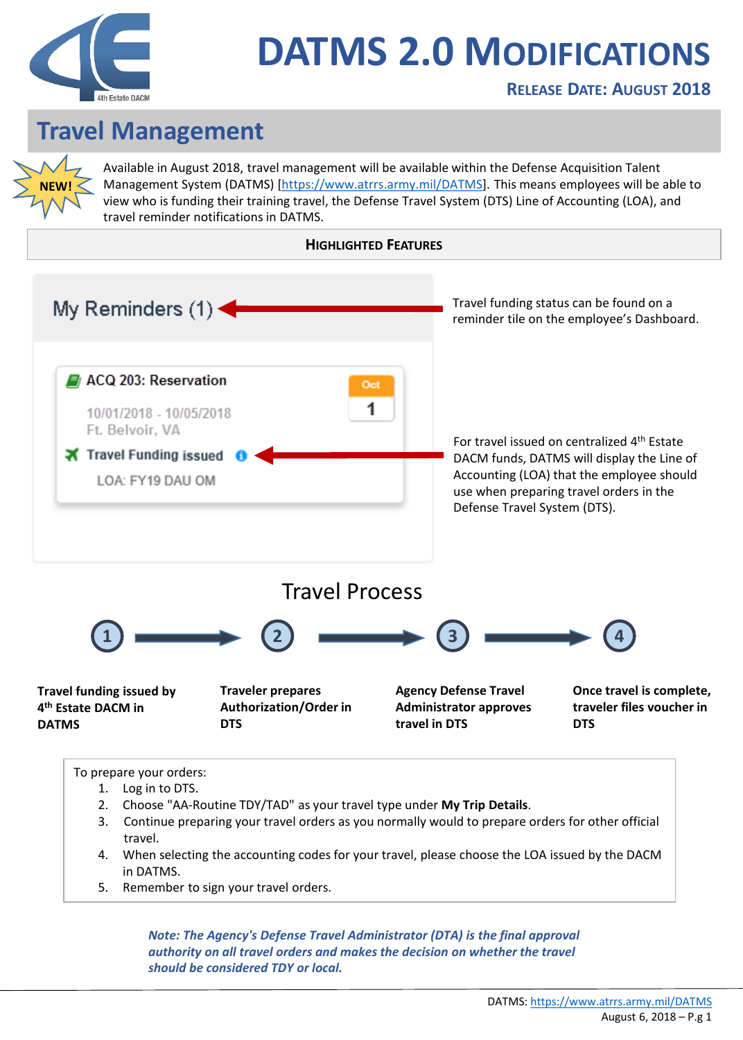

## **DATMS 2.0 MODIFICATIONS**

## **Travel Management**

**NEW!**

Available in August 2018, travel management will be available within the Defense Acquisition Talent Management System (DATMS) [[https://www.atrrs.army.mil/DATMS\]](https://www.atrrs.army.mil/Datms/). This means employees will be able to view who is funding their training travel, the Defense Travel System (DTS) Line of Accounting (LOA), and travel reminder notifications in DATMS.



5. Remember to sign your travel orders.

*Note: The Agency's Defense Travel Administrator (DTA) is the final approval authority on all travel orders and makes the decision on whether the travel should be considered TDY or local.*